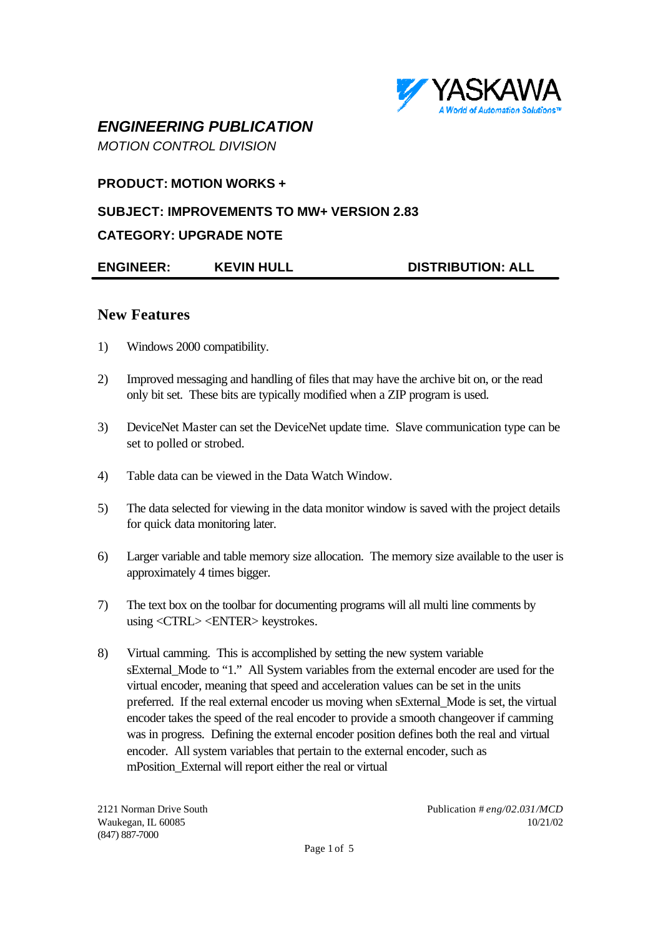

# *ENGINEERING PUBLICATION*

*MOTION CONTROL DIVISION*

### **PRODUCT: MOTION WORKS +**

### **SUBJECT: IMPROVEMENTS TO MW+ VERSION 2.83**

### **CATEGORY: UPGRADE NOTE**

**ENGINEER: KEVIN HULL DISTRIBUTION: ALL**

### **New Features**

- 1) Windows 2000 compatibility.
- 2) Improved messaging and handling of files that may have the archive bit on, or the read only bit set. These bits are typically modified when a ZIP program is used.
- 3) DeviceNet Master can set the DeviceNet update time. Slave communication type can be set to polled or strobed.
- 4) Table data can be viewed in the Data Watch Window.
- 5) The data selected for viewing in the data monitor window is saved with the project details for quick data monitoring later.
- 6) Larger variable and table memory size allocation. The memory size available to the user is approximately 4 times bigger.
- 7) The text box on the toolbar for documenting programs will all multi line comments by using <CTRL> <ENTER> keystrokes.
- 8) Virtual camming. This is accomplished by setting the new system variable sExternal\_Mode to "1." All System variables from the external encoder are used for the virtual encoder, meaning that speed and acceleration values can be set in the units preferred. If the real external encoder us moving when sExternal\_Mode is set, the virtual encoder takes the speed of the real encoder to provide a smooth changeover if camming was in progress. Defining the external encoder position defines both the real and virtual encoder. All system variables that pertain to the external encoder, such as mPosition\_External will report either the real or virtual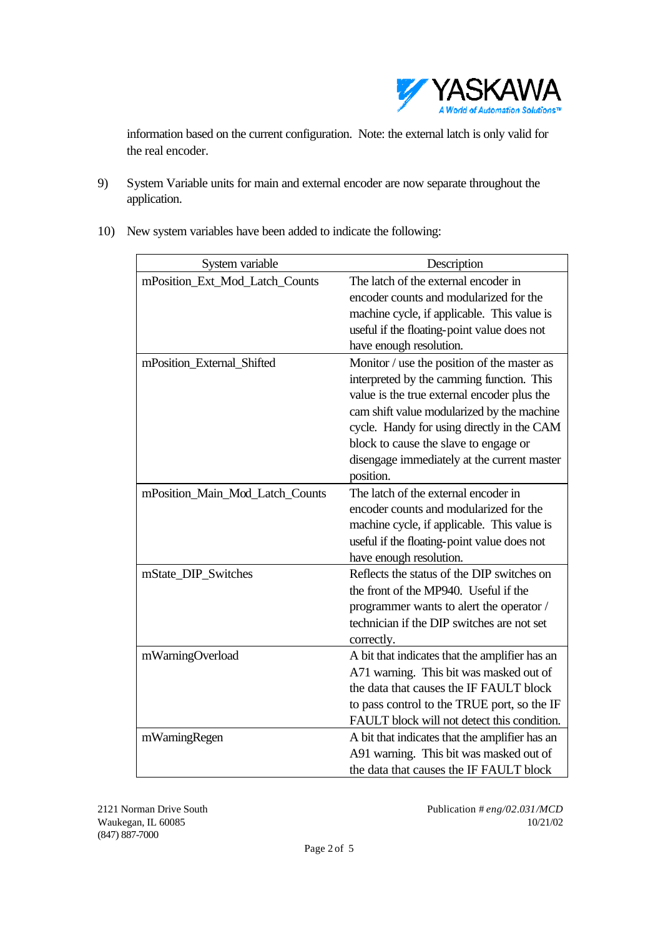

information based on the current configuration. Note: the external latch is only valid for the real encoder.

- 9) System Variable units for main and external encoder are now separate throughout the application.
- 10) New system variables have been added to indicate the following:

| System variable                 | Description                                                                                                                                                                                                                                                                                                                              |
|---------------------------------|------------------------------------------------------------------------------------------------------------------------------------------------------------------------------------------------------------------------------------------------------------------------------------------------------------------------------------------|
| mPosition_Ext_Mod_Latch_Counts  | The latch of the external encoder in<br>encoder counts and modularized for the<br>machine cycle, if applicable. This value is<br>useful if the floating-point value does not<br>have enough resolution.                                                                                                                                  |
| mPosition_External_Shifted      | Monitor / use the position of the master as<br>interpreted by the camming function. This<br>value is the true external encoder plus the<br>cam shift value modularized by the machine<br>cycle. Handy for using directly in the CAM<br>block to cause the slave to engage or<br>disengage immediately at the current master<br>position. |
| mPosition_Main_Mod_Latch_Counts | The latch of the external encoder in<br>encoder counts and modularized for the<br>machine cycle, if applicable. This value is<br>useful if the floating-point value does not<br>have enough resolution.                                                                                                                                  |
| mState_DIP_Switches             | Reflects the status of the DIP switches on<br>the front of the MP940. Useful if the<br>programmer wants to alert the operator /<br>technician if the DIP switches are not set<br>correctly.                                                                                                                                              |
| mWarningOverload                | A bit that indicates that the amplifier has an<br>A71 warning. This bit was masked out of<br>the data that causes the IF FAULT block<br>to pass control to the TRUE port, so the IF<br>FAULT block will not detect this condition.                                                                                                       |
| mWarningRegen                   | A bit that indicates that the amplifier has an<br>A91 warning. This bit was masked out of<br>the data that causes the IF FAULT block                                                                                                                                                                                                     |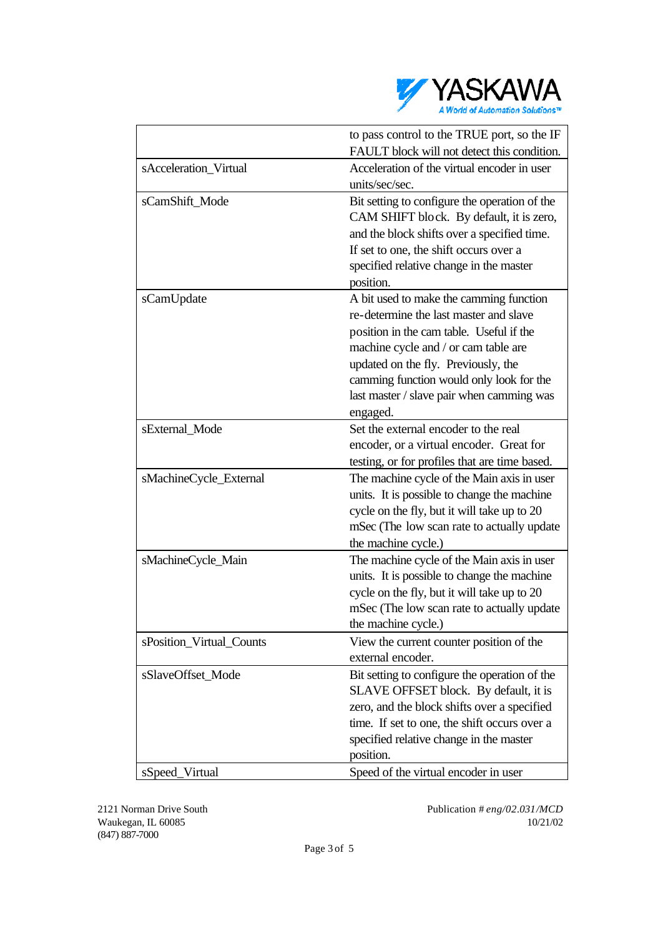

|                          | to pass control to the TRUE port, so the IF   |
|--------------------------|-----------------------------------------------|
|                          | FAULT block will not detect this condition.   |
| sAcceleration_Virtual    | Acceleration of the virtual encoder in user   |
|                          | units/sec/sec.                                |
| sCamShift_Mode           | Bit setting to configure the operation of the |
|                          | CAM SHIFT block. By default, it is zero,      |
|                          | and the block shifts over a specified time.   |
|                          | If set to one, the shift occurs over a        |
|                          | specified relative change in the master       |
|                          | position.                                     |
| sCamUpdate               | A bit used to make the camming function       |
|                          | re-determine the last master and slave        |
|                          | position in the cam table. Useful if the      |
|                          | machine cycle and / or cam table are          |
|                          | updated on the fly. Previously, the           |
|                          | camming function would only look for the      |
|                          | last master / slave pair when camming was     |
|                          | engaged.                                      |
| sExternal_Mode           | Set the external encoder to the real          |
|                          | encoder, or a virtual encoder. Great for      |
|                          | testing, or for profiles that are time based. |
| sMachineCycle_External   | The machine cycle of the Main axis in user    |
|                          | units. It is possible to change the machine   |
|                          | cycle on the fly, but it will take up to 20   |
|                          | mSec (The low scan rate to actually update    |
|                          | the machine cycle.)                           |
| sMachineCycle_Main       | The machine cycle of the Main axis in user    |
|                          | units. It is possible to change the machine   |
|                          | cycle on the fly, but it will take up to 20   |
|                          | mSec (The low scan rate to actually update    |
|                          | the machine cycle.)                           |
| sPosition_Virtual_Counts | View the current counter position of the      |
|                          | external encoder.                             |
| sSlaveOffset_Mode        | Bit setting to configure the operation of the |
|                          | SLAVE OFFSET block. By default, it is         |
|                          | zero, and the block shifts over a specified   |
|                          | time. If set to one, the shift occurs over a  |
|                          | specified relative change in the master       |
|                          | position.                                     |
| sSpeed_Virtual           | Speed of the virtual encoder in user          |
|                          |                                               |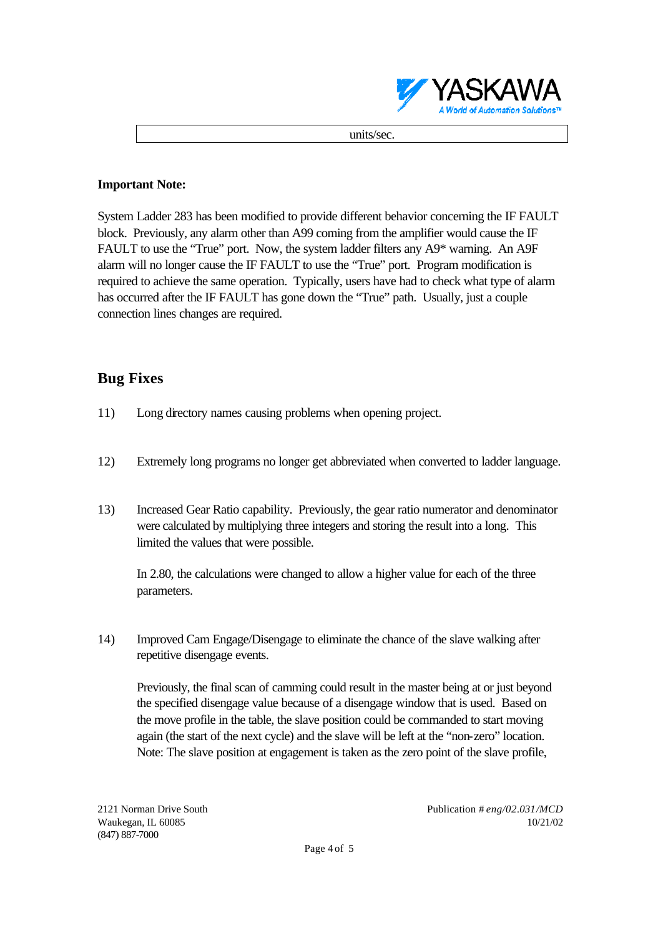

units/sec.

#### **Important Note:**

System Ladder 283 has been modified to provide different behavior concerning the IF FAULT block. Previously, any alarm other than A99 coming from the amplifier would cause the IF FAULT to use the "True" port. Now, the system ladder filters any A9\* warning. An A9F alarm will no longer cause the IF FAULT to use the "True" port. Program modification is required to achieve the same operation. Typically, users have had to check what type of alarm has occurred after the IF FAULT has gone down the "True" path. Usually, just a couple connection lines changes are required.

## **Bug Fixes**

- 11) Long directory names causing problems when opening project.
- 12) Extremely long programs no longer get abbreviated when converted to ladder language.
- 13) Increased Gear Ratio capability. Previously, the gear ratio numerator and denominator were calculated by multiplying three integers and storing the result into a long. This limited the values that were possible.

In 2.80, the calculations were changed to allow a higher value for each of the three parameters.

14) Improved Cam Engage/Disengage to eliminate the chance of the slave walking after repetitive disengage events.

Previously, the final scan of camming could result in the master being at or just beyond the specified disengage value because of a disengage window that is used. Based on the move profile in the table, the slave position could be commanded to start moving again (the start of the next cycle) and the slave will be left at the "non-zero" location. Note: The slave position at engagement is taken as the zero point of the slave profile,